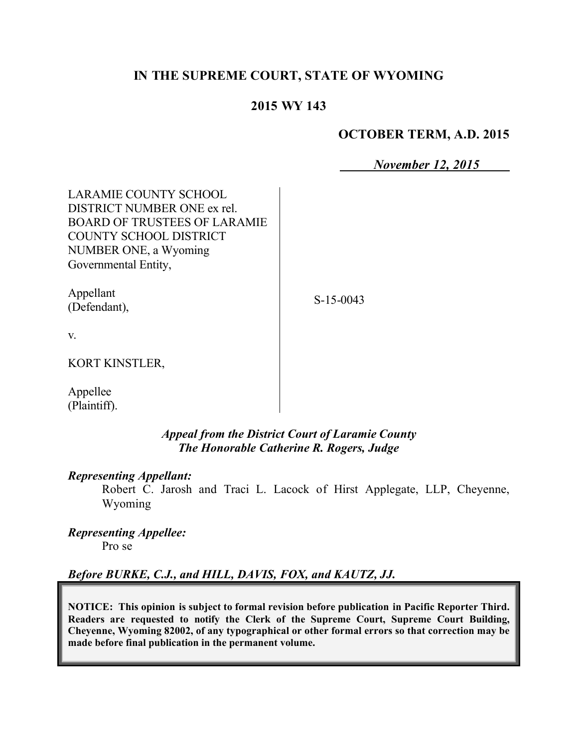# **IN THE SUPREME COURT, STATE OF WYOMING**

# **2015 WY 143**

### **OCTOBER TERM, A.D. 2015**

*November 12, 2015*

| <b>LARAMIE COUNTY SCHOOL</b><br>DISTRICT NUMBER ONE ex rel.<br><b>BOARD OF TRUSTEES OF LARAMIE</b><br>COUNTY SCHOOL DISTRICT<br>NUMBER ONE, a Wyoming<br>Governmental Entity, |             |
|-------------------------------------------------------------------------------------------------------------------------------------------------------------------------------|-------------|
| Appellant<br>(Defendant),                                                                                                                                                     | $S-15-0043$ |
| V.                                                                                                                                                                            |             |
| KORT KINSTLER,                                                                                                                                                                |             |
| Appellee<br>(Plaintiff).                                                                                                                                                      |             |

## *Appeal from the District Court of Laramie County The Honorable Catherine R. Rogers, Judge*

#### *Representing Appellant:*

Robert C. Jarosh and Traci L. Lacock of Hirst Applegate, LLP, Cheyenne, Wyoming

#### *Representing Appellee:* Pro se

# *Before BURKE, C.J., and HILL, DAVIS, FOX, and KAUTZ, JJ.*

**NOTICE: This opinion is subject to formal revision before publication in Pacific Reporter Third. Readers are requested to notify the Clerk of the Supreme Court, Supreme Court Building, Cheyenne, Wyoming 82002, of any typographical or other formal errors so that correction may be made before final publication in the permanent volume.**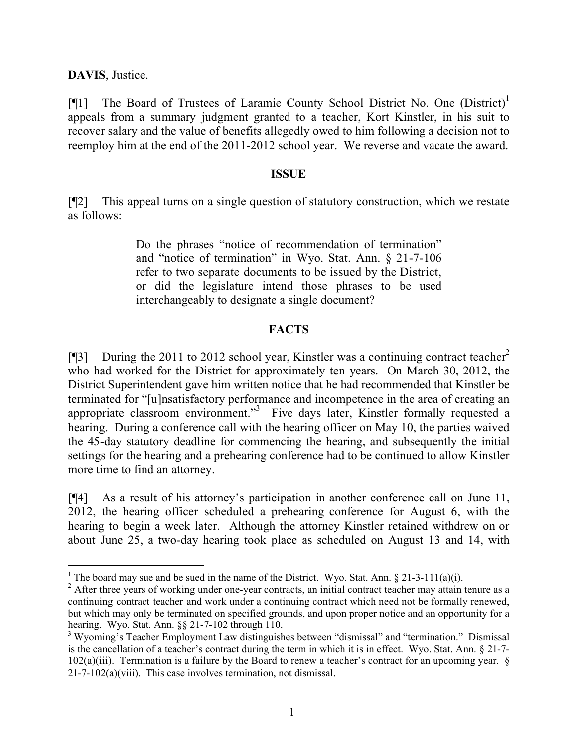**DAVIS**, Justice.

 $\overline{a}$ 

[ $[$ [1] The Board of Trustees of Laramie County School District No. One (District)<sup>1</sup> appeals from a summary judgment granted to a teacher, Kort Kinstler, in his suit to recover salary and the value of benefits allegedly owed to him following a decision not to reemploy him at the end of the 2011-2012 school year. We reverse and vacate the award.

#### **ISSUE**

[¶2] This appeal turns on a single question of statutory construction, which we restate as follows:

> Do the phrases "notice of recommendation of termination" and "notice of termination" in Wyo. Stat. Ann. § 21-7-106 refer to two separate documents to be issued by the District, or did the legislature intend those phrases to be used interchangeably to designate a single document?

# **FACTS**

[ $[$ ] During the 2011 to 2012 school year, Kinstler was a continuing contract teacher<sup>2</sup> who had worked for the District for approximately ten years. On March 30, 2012, the District Superintendent gave him written notice that he had recommended that Kinstler be terminated for "[u]nsatisfactory performance and incompetence in the area of creating an appropriate classroom environment."<sup>3</sup> Five days later, Kinstler formally requested a hearing. During a conference call with the hearing officer on May 10, the parties waived the 45-day statutory deadline for commencing the hearing, and subsequently the initial settings for the hearing and a prehearing conference had to be continued to allow Kinstler more time to find an attorney.

[¶4] As a result of his attorney's participation in another conference call on June 11, 2012, the hearing officer scheduled a prehearing conference for August 6, with the hearing to begin a week later. Although the attorney Kinstler retained withdrew on or about June 25, a two-day hearing took place as scheduled on August 13 and 14, with

<sup>&</sup>lt;sup>1</sup> The board may sue and be sued in the name of the District. Wyo. Stat. Ann.  $\S$  21-3-111(a)(i).

<sup>&</sup>lt;sup>2</sup> After three years of working under one-year contracts, an initial contract teacher may attain tenure as a continuing contract teacher and work under a continuing contract which need not be formally renewed, but which may only be terminated on specified grounds, and upon proper notice and an opportunity for a hearing. Wyo. Stat. Ann. §§ 21-7-102 through 110.

<sup>&</sup>lt;sup>3</sup> Wyoming's Teacher Employment Law distinguishes between "dismissal" and "termination." Dismissal is the cancellation of a teacher's contract during the term in which it is in effect. Wyo. Stat. Ann. § 21-7- 102(a)(iii). Termination is a failure by the Board to renew a teacher's contract for an upcoming year. § 21-7-102(a)(viii). This case involves termination, not dismissal.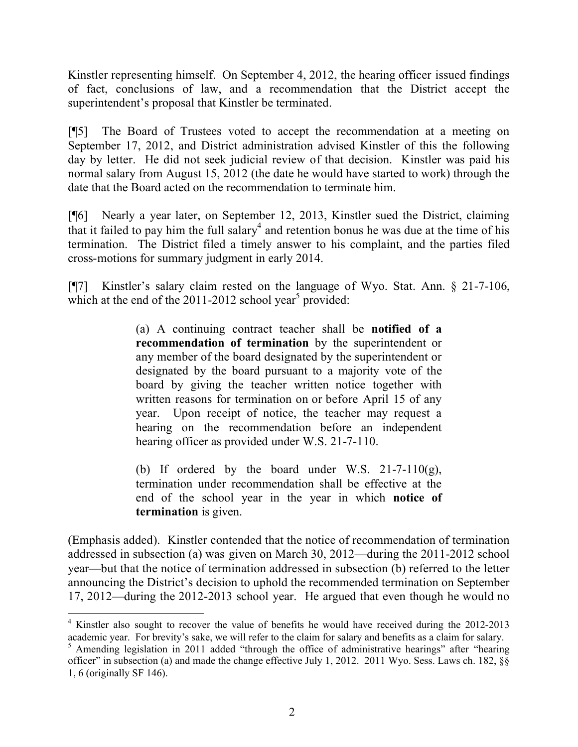Kinstler representing himself. On September 4, 2012, the hearing officer issued findings of fact, conclusions of law, and a recommendation that the District accept the superintendent's proposal that Kinstler be terminated.

[¶5] The Board of Trustees voted to accept the recommendation at a meeting on September 17, 2012, and District administration advised Kinstler of this the following day by letter. He did not seek judicial review of that decision. Kinstler was paid his normal salary from August 15, 2012 (the date he would have started to work) through the date that the Board acted on the recommendation to terminate him.

[¶6] Nearly a year later, on September 12, 2013, Kinstler sued the District, claiming that it failed to pay him the full salary<sup>4</sup> and retention bonus he was due at the time of his termination. The District filed a timely answer to his complaint, and the parties filed cross-motions for summary judgment in early 2014.

[¶7] Kinstler's salary claim rested on the language of Wyo. Stat. Ann. § 21-7-106, which at the end of the 2011-2012 school year<sup>5</sup> provided:

> (a) A continuing contract teacher shall be **notified of a recommendation of termination** by the superintendent or any member of the board designated by the superintendent or designated by the board pursuant to a majority vote of the board by giving the teacher written notice together with written reasons for termination on or before April 15 of any year. Upon receipt of notice, the teacher may request a hearing on the recommendation before an independent hearing officer as provided under W.S. 21-7-110.

> (b) If ordered by the board under W.S.  $21-7-110(g)$ , termination under recommendation shall be effective at the end of the school year in the year in which **notice of termination** is given.

(Emphasis added). Kinstler contended that the notice of recommendation of termination addressed in subsection (a) was given on March 30, 2012—during the 2011-2012 school year—but that the notice of termination addressed in subsection (b) referred to the letter announcing the District's decision to uphold the recommended termination on September 17, 2012—during the 2012-2013 school year. He argued that even though he would no

<sup>&</sup>lt;sup>4</sup> Kinstler also sought to recover the value of benefits he would have received during the 2012-2013 academic year. For brevity's sake, we will refer to the claim for salary and benefits as a claim for salary.

<sup>&</sup>lt;sup>5</sup> Amending legislation in 2011 added "through the office of administrative hearings" after "hearing officer" in subsection (a) and made the change effective July 1, 2012. 2011 Wyo. Sess. Laws ch. 182, §§ 1, 6 (originally SF 146).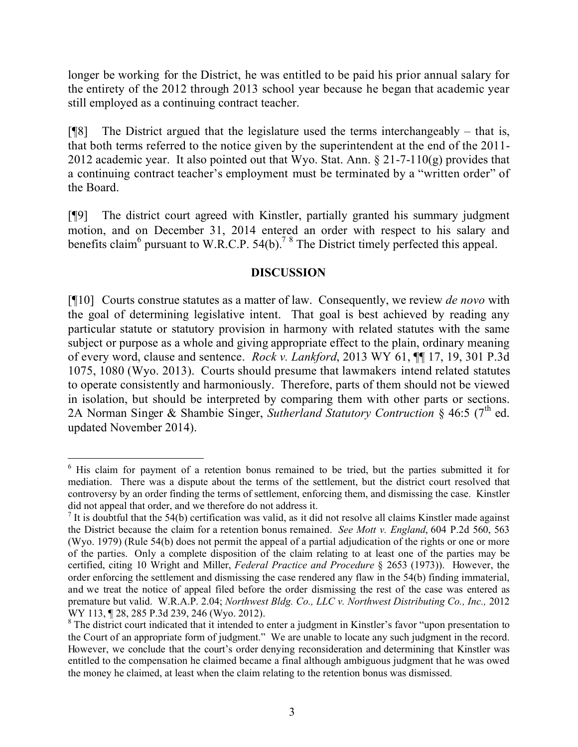longer be working for the District, he was entitled to be paid his prior annual salary for the entirety of the 2012 through 2013 school year because he began that academic year still employed as a continuing contract teacher.

 $[$ <del>[[8]</del> The District argued that the legislature used the terms interchangeably – that is, that both terms referred to the notice given by the superintendent at the end of the 2011- 2012 academic year. It also pointed out that Wyo. Stat. Ann.  $\S 21-7-110(g)$  provides that a continuing contract teacher's employment must be terminated by a "written order" of the Board.

[¶9] The district court agreed with Kinstler, partially granted his summary judgment motion, and on December 31, 2014 entered an order with respect to his salary and benefits claim<sup>6</sup> pursuant to W.R.C.P. 54(b).<sup>7 8</sup> The District timely perfected this appeal.

## **DISCUSSION**

[¶10] Courts construe statutes as a matter of law. Consequently, we review *de novo* with the goal of determining legislative intent. That goal is best achieved by reading any particular statute or statutory provision in harmony with related statutes with the same subject or purpose as a whole and giving appropriate effect to the plain, ordinary meaning of every word, clause and sentence. *Rock v. Lankford*, 2013 WY 61, ¶¶ 17, 19, 301 P.3d 1075, 1080 (Wyo. 2013). Courts should presume that lawmakers intend related statutes to operate consistently and harmoniously. Therefore, parts of them should not be viewed in isolation, but should be interpreted by comparing them with other parts or sections. 2A Norman Singer & Shambie Singer, *Sutherland Statutory Contruction* § 46:5 (7<sup>th</sup> ed. updated November 2014).

  $6$  His claim for payment of a retention bonus remained to be tried, but the parties submitted it for mediation. There was a dispute about the terms of the settlement, but the district court resolved that controversy by an order finding the terms of settlement, enforcing them, and dismissing the case. Kinstler did not appeal that order, and we therefore do not address it.

<sup>&</sup>lt;sup>7</sup> It is doubtful that the 54(b) certification was valid, as it did not resolve all claims Kinstler made against the District because the claim for a retention bonus remained. *See Mott v. England*, 604 P.2d 560, 563 (Wyo. 1979) (Rule 54(b) does not permit the appeal of a partial adjudication of the rights or one or more of the parties. Only a complete disposition of the claim relating to at least one of the parties may be certified, citing 10 Wright and Miller, *Federal Practice and Procedure* § 2653 (1973)). However, the order enforcing the settlement and dismissing the case rendered any flaw in the 54(b) finding immaterial, and we treat the notice of appeal filed before the order dismissing the rest of the case was entered as premature but valid. W.R.A.P. 2.04; *Northwest Bldg. Co., LLC v. Northwest Distributing Co., Inc.,* 2012 WY 113, ¶ 28, 285 P.3d 239, 246 (Wyo. 2012).

<sup>&</sup>lt;sup>8</sup> The district court indicated that it intended to enter a judgment in Kinstler's favor "upon presentation to the Court of an appropriate form of judgment." We are unable to locate any such judgment in the record. However, we conclude that the court's order denying reconsideration and determining that Kinstler was entitled to the compensation he claimed became a final although ambiguous judgment that he was owed the money he claimed, at least when the claim relating to the retention bonus was dismissed.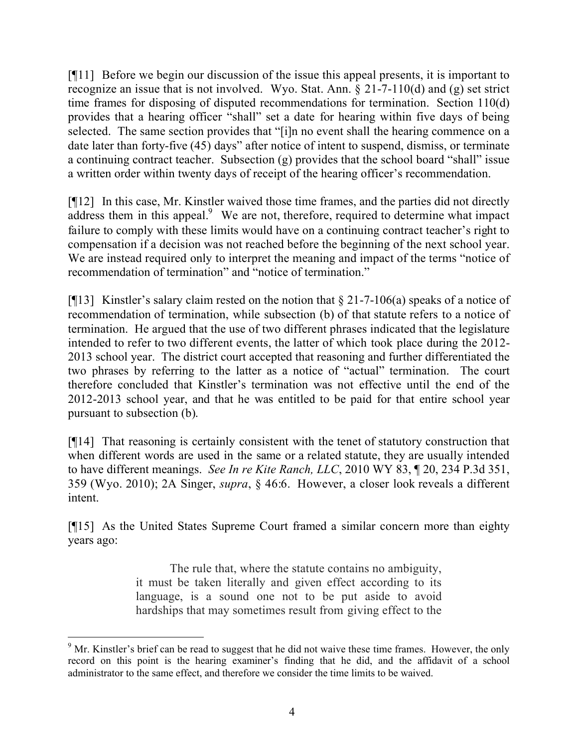[¶11] Before we begin our discussion of the issue this appeal presents, it is important to recognize an issue that is not involved. Wyo. Stat. Ann. § 21-7-110(d) and (g) set strict time frames for disposing of disputed recommendations for termination. Section 110(d) provides that a hearing officer "shall" set a date for hearing within five days of being selected. The same section provides that "[i]n no event shall the hearing commence on a date later than forty-five (45) days" after notice of intent to suspend, dismiss, or terminate a continuing contract teacher. Subsection (g) provides that the school board "shall" issue a written order within twenty days of receipt of the hearing officer's recommendation.

[¶12] In this case, Mr. Kinstler waived those time frames, and the parties did not directly  $a$ ddress them in this appeal. $9$  We are not, therefore, required to determine what impact failure to comply with these limits would have on a continuing contract teacher's right to compensation if a decision was not reached before the beginning of the next school year. We are instead required only to interpret the meaning and impact of the terms "notice of recommendation of termination" and "notice of termination."

[ $[13]$ ] Kinstler's salary claim rested on the notion that  $\S 21-7-106(a)$  speaks of a notice of recommendation of termination, while subsection (b) of that statute refers to a notice of termination. He argued that the use of two different phrases indicated that the legislature intended to refer to two different events, the latter of which took place during the 2012- 2013 school year. The district court accepted that reasoning and further differentiated the two phrases by referring to the latter as a notice of "actual" termination. The court therefore concluded that Kinstler's termination was not effective until the end of the 2012-2013 school year, and that he was entitled to be paid for that entire school year pursuant to subsection (b).

[¶14] That reasoning is certainly consistent with the tenet of statutory construction that when different words are used in the same or a related statute, they are usually intended to have different meanings. *See In re Kite Ranch, LLC*, 2010 WY 83, ¶ 20, 234 P.3d 351, 359 (Wyo. 2010); 2A Singer, *supra*, § 46:6. However, a closer look reveals a different intent.

[¶15] As the United States Supreme Court framed a similar concern more than eighty years ago:

> The rule that, where the statute contains no ambiguity, it must be taken literally and given effect according to its language, is a sound one not to be put aside to avoid hardships that may sometimes result from giving effect to the

 <sup>9</sup> Mr. Kinstler's brief can be read to suggest that he did not waive these time frames. However, the only record on this point is the hearing examiner's finding that he did, and the affidavit of a school administrator to the same effect, and therefore we consider the time limits to be waived.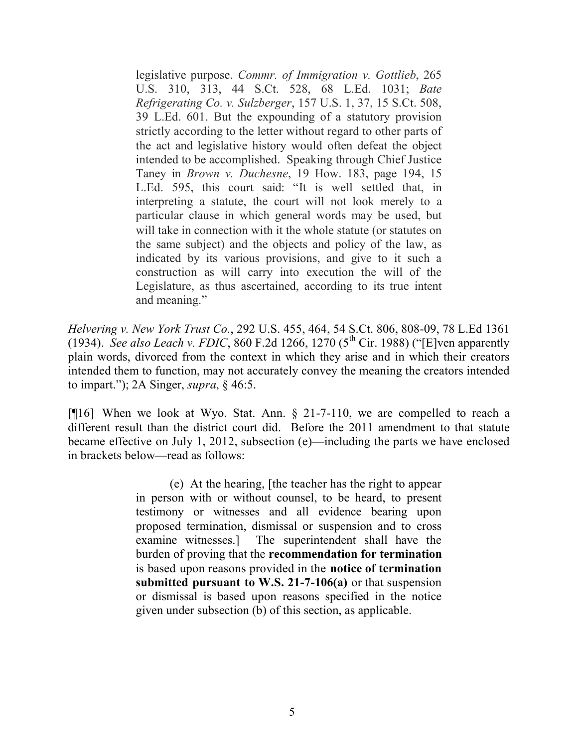legislative purpose. *Commr. of Immigration v. Gottlieb*, 265 U.S. 310, 313, 44 S.Ct. 528, 68 L.Ed. 1031; *Bate Refrigerating Co. v. Sulzberger*, 157 U.S. 1, 37, 15 S.Ct. 508, 39 L.Ed. 601. But the expounding of a statutory provision strictly according to the letter without regard to other parts of the act and legislative history would often defeat the object intended to be accomplished. Speaking through Chief Justice Taney in *Brown v. Duchesne*, 19 How. 183, page 194, 15 L.Ed. 595, this court said: "It is well settled that, in interpreting a statute, the court will not look merely to a particular clause in which general words may be used, but will take in connection with it the whole statute (or statutes on the same subject) and the objects and policy of the law, as indicated by its various provisions, and give to it such a construction as will carry into execution the will of the Legislature, as thus ascertained, according to its true intent and meaning."

*Helvering v. New York Trust Co.*, 292 U.S. 455, 464, 54 S.Ct. 806, 808-09, 78 L.Ed 1361 (1934). *See also Leach v. FDIC*, 860 F.2d 1266, 1270 (5<sup>th</sup> Cir. 1988) ("[E]ven apparently plain words, divorced from the context in which they arise and in which their creators intended them to function, may not accurately convey the meaning the creators intended to impart."); 2A Singer, *supra*, § 46:5.

[¶16] When we look at Wyo. Stat. Ann. § 21-7-110, we are compelled to reach a different result than the district court did. Before the 2011 amendment to that statute became effective on July 1, 2012, subsection (e)—including the parts we have enclosed in brackets below—read as follows:

> (e) At the hearing, [the teacher has the right to appear in person with or without counsel, to be heard, to present testimony or witnesses and all evidence bearing upon proposed termination, dismissal or suspension and to cross examine witnesses.] The superintendent shall have the burden of proving that the **recommendation for termination** is based upon reasons provided in the **notice of termination submitted pursuant to W.S. 21-7-106(a)** or that suspension or dismissal is based upon reasons specified in the notice given under subsection (b) of this section, as applicable.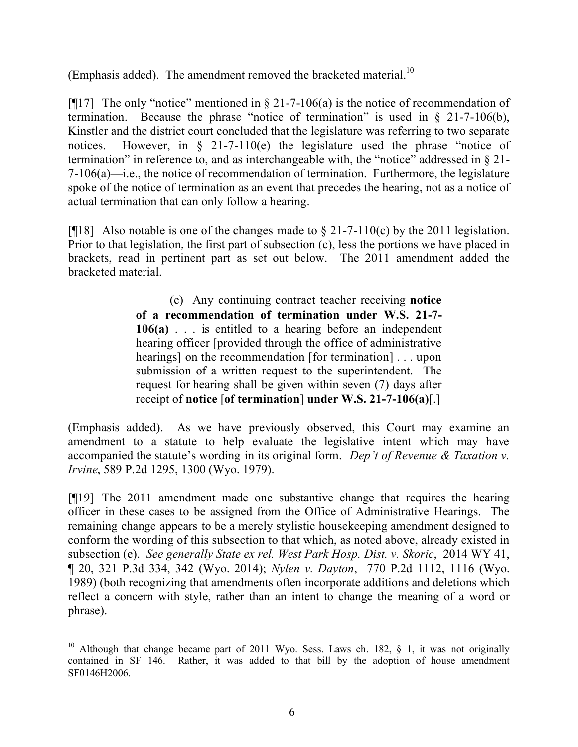(Emphasis added). The amendment removed the bracketed material.<sup>10</sup>

[ $[17]$ ] The only "notice" mentioned in § 21-7-106(a) is the notice of recommendation of termination. Because the phrase "notice of termination" is used in § 21-7-106(b), Kinstler and the district court concluded that the legislature was referring to two separate notices. However, in § 21-7-110(e) the legislature used the phrase "notice of termination" in reference to, and as interchangeable with, the "notice" addressed in § 21- 7-106(a)—i.e., the notice of recommendation of termination. Furthermore, the legislature spoke of the notice of termination as an event that precedes the hearing, not as a notice of actual termination that can only follow a hearing.

[ $[$ [18] Also notable is one of the changes made to  $\S 21-7-110(c)$  by the 2011 legislation. Prior to that legislation, the first part of subsection (c), less the portions we have placed in brackets, read in pertinent part as set out below. The 2011 amendment added the bracketed material.

> (c) Any continuing contract teacher receiving **notice of a recommendation of termination under W.S. 21-7- 106(a)** . . . is entitled to a hearing before an independent hearing officer [provided through the office of administrative hearings] on the recommendation [for termination] . . . upon submission of a written request to the superintendent. The request for hearing shall be given within seven (7) days after receipt of **notice** [**of termination**] **under W.S. 21-7-106(a)**[.]

(Emphasis added). As we have previously observed, this Court may examine an amendment to a statute to help evaluate the legislative intent which may have accompanied the statute's wording in its original form. *Dep't of Revenue & Taxation v. Irvine*, 589 P.2d 1295, 1300 (Wyo. 1979).

[¶19] The 2011 amendment made one substantive change that requires the hearing officer in these cases to be assigned from the Office of Administrative Hearings. The remaining change appears to be a merely stylistic housekeeping amendment designed to conform the wording of this subsection to that which, as noted above, already existed in subsection (e). *See generally State ex rel. West Park Hosp. Dist. v. Skoric*, 2014 WY 41, ¶ 20, 321 P.3d 334, 342 (Wyo. 2014); *Nylen v. Dayton*, 770 P.2d 1112, 1116 (Wyo. 1989) (both recognizing that amendments often incorporate additions and deletions which reflect a concern with style, rather than an intent to change the meaning of a word or phrase).

 <sup>10</sup> Although that change became part of 2011 Wyo. Sess. Laws ch. 182,  $\S$  1, it was not originally contained in SF 146. Rather, it was added to that bill by the adoption of house amendment SF0146H2006.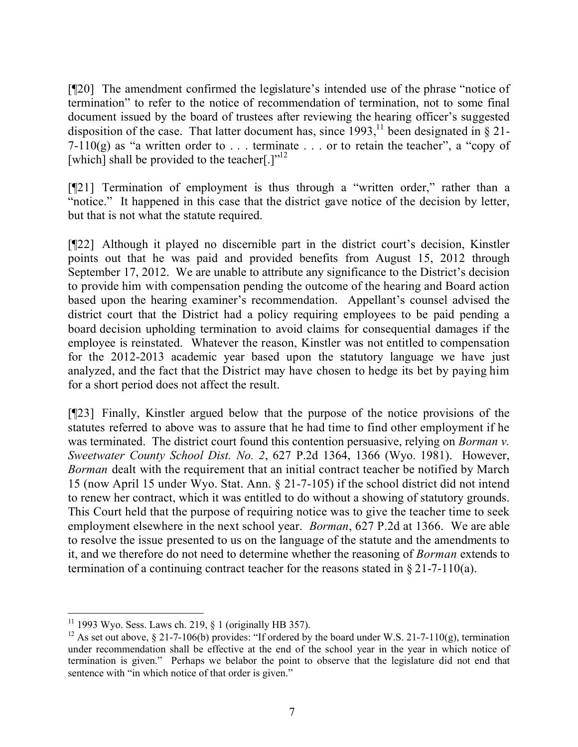[¶20] The amendment confirmed the legislature's intended use of the phrase "notice of termination" to refer to the notice of recommendation of termination, not to some final document issued by the board of trustees after reviewing the hearing officer's suggested disposition of the case. That latter document has, since  $1993$ ,<sup>11</sup> been designated in § 21-7-110(g) as "a written order to  $\ldots$  terminate  $\ldots$  or to retain the teacher", a "copy of [which] shall be provided to the teacher[.] $v^{12}$ 

[¶21] Termination of employment is thus through a "written order," rather than a "notice." It happened in this case that the district gave notice of the decision by letter, but that is not what the statute required.

[¶22] Although it played no discernible part in the district court's decision, Kinstler points out that he was paid and provided benefits from August 15, 2012 through September 17, 2012. We are unable to attribute any significance to the District's decision to provide him with compensation pending the outcome of the hearing and Board action based upon the hearing examiner's recommendation. Appellant's counsel advised the district court that the District had a policy requiring employees to be paid pending a board decision upholding termination to avoid claims for consequential damages if the employee is reinstated. Whatever the reason, Kinstler was not entitled to compensation for the 2012-2013 academic year based upon the statutory language we have just analyzed, and the fact that the District may have chosen to hedge its bet by paying him for a short period does not affect the result.

[¶23] Finally, Kinstler argued below that the purpose of the notice provisions of the statutes referred to above was to assure that he had time to find other employment if he was terminated. The district court found this contention persuasive, relying on *Borman v. Sweetwater County School Dist. No. 2*, 627 P.2d 1364, 1366 (Wyo. 1981). However, *Borman* dealt with the requirement that an initial contract teacher be notified by March 15 (now April 15 under Wyo. Stat. Ann. § 21-7-105) if the school district did not intend to renew her contract, which it was entitled to do without a showing of statutory grounds. This Court held that the purpose of requiring notice was to give the teacher time to seek employment elsewhere in the next school year. *Borman*, 627 P.2d at 1366. We are able to resolve the issue presented to us on the language of the statute and the amendments to it, and we therefore do not need to determine whether the reasoning of *Borman* extends to termination of a continuing contract teacher for the reasons stated in  $\S 21$ -7-110(a).

 $11$  1993 Wyo. Sess. Laws ch. 219, § 1 (originally HB 357).

<sup>&</sup>lt;sup>12</sup> As set out above, § 21-7-106(b) provides: "If ordered by the board under W.S. 21-7-110(g), termination under recommendation shall be effective at the end of the school year in the year in which notice of termination is given." Perhaps we belabor the point to observe that the legislature did not end that sentence with "in which notice of that order is given."